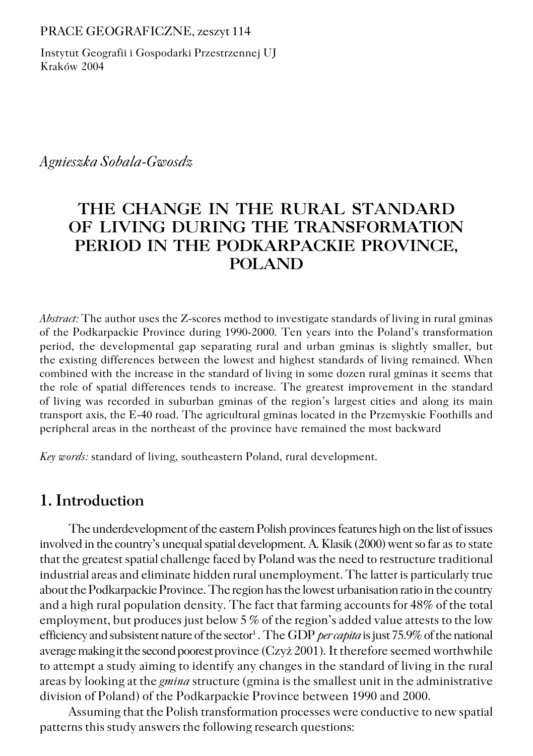PRACE GEOGRAFICZNE, zeszyt 114

Instytut Geografii i Gospodarki Przestrzennej UJ Kraków 2004

*Agnieszka Sobala−Gwosdz*

# **THE CHANGE IN THE RURAL STANDARD OF LIVING DURING THE TRANSFORMATION PERIOD IN THE PODKARPACKIE PROVINCE, POLAND**

*Abstract:* The author uses the Z−scores method to investigate standards of living in rural gminas of the Podkarpackie Province during 1990−2000. Ten years into the Poland's transformation period, the developmental gap separating rural and urban gminas is slightly smaller, but the existing differences between the lowest and highest standards of living remained. When combined with the increase in the standard of living in some dozen rural gminas it seems that the role of spatial differences tends to increase. The greatest improvement in the standard of living was recorded in suburban gminas of the region's largest cities and along its main transport axis, the E−40 road. The agricultural gminas located in the Przemyskie Foothills and peripheral areas in the northeast of the province have remained the most backward

*Key words:* standard of living, southeastern Poland, rural development.

## **1. Introduction**

The underdevelopment of the eastern Polish provinces features high on the list of issues involved in the country's unequal spatial development. A. Klasik (2000) went so far as to state that the greatest spatial challenge faced by Poland was the need to restructure traditional industrial areas and eliminate hidden rural unemployment. The latter is particularly true about the Podkarpackie Province. The region has the lowest urbanisation ratio in the country and a high rural population density. The fact that farming accounts for 48% of the total employment, but produces just below 5 % of the region's added value attests to the low efficiency and subsistent nature of the sector<sup>1</sup> . The GDP *per capita* is just 75.9% of the national average making it the second poorest province (Czyż 2001). It therefore seemed worthwhile to attempt a study aiming to identify any changes in the standard of living in the rural areas by looking at the *gmina* structure (gmina is the smallest unit in the administrative division of Poland) of the Podkarpackie Province between 1990 and 2000.

Assuming that the Polish transformation processes were conductive to new spatial patterns this study answers the following research questions: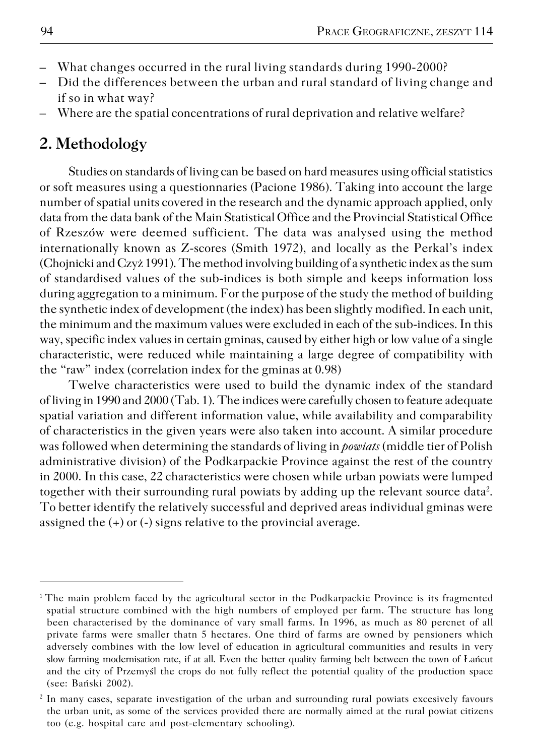- What changes occurred in the rural living standards during 1990−2000?
- Did the differences between the urban and rural standard of living change and if so in what way?
- Where are the spatial concentrations of rural deprivation and relative welfare?

## **2. Methodology**

Studies on standards of living can be based on hard measures using official statistics or soft measures using a questionnaries (Pacione 1986). Taking into account the large number of spatial units covered in the research and the dynamic approach applied, only data from the data bank of the Main Statistical Office and the Provincial Statistical Office of Rzeszów were deemed sufficient. The data was analysed using the method internationally known as Z−scores (Smith 1972), and locally as the Perkal's index (Chojnicki and Czyż 1991). The method involving building of a synthetic index as the sum of standardised values of the sub−indices is both simple and keeps information loss during aggregation to a minimum. For the purpose of the study the method of building the synthetic index of development (the index) has been slightly modified. In each unit, the minimum and the maximum values were excluded in each of the sub−indices. In this way, specific index values in certain gminas, caused by either high or low value of a single characteristic, were reduced while maintaining a large degree of compatibility with the "raw" index (correlation index for the gminas at 0.98)

Twelve characteristics were used to build the dynamic index of the standard of living in 1990 and 2000 (Tab. 1). The indices were carefully chosen to feature adequate spatial variation and different information value, while availability and comparability of characteristics in the given years were also taken into account. A similar procedure was followed when determining the standards of living in *powiats* (middle tier of Polish administrative division) of the Podkarpackie Province against the rest of the country in 2000. In this case, 22 characteristics were chosen while urban powiats were lumped together with their surrounding rural powiats by adding up the relevant source data<sup>2</sup>. To better identify the relatively successful and deprived areas individual gminas were assigned the (+) or (−) signs relative to the provincial average.

<sup>&</sup>lt;sup>1</sup>The main problem faced by the agricultural sector in the Podkarpackie Province is its fragmented spatial structure combined with the high numbers of employed per farm. The structure has long been characterised by the dominance of vary small farms. In 1996, as much as 80 percnet of all private farms were smaller thatn 5 hectares. One third of farms are owned by pensioners which adversely combines with the low level of education in agricultural communities and results in very slow farming modernisation rate, if at all. Even the better quality farming belt between the town of Łańcut and the city of Przemyśl the crops do not fully reflect the potential quality of the production space (see: Bański 2002).

<sup>2</sup> In many cases, separate investigation of the urban and surrounding rural powiats excesively favours the urban unit, as some of the services provided there are normally aimed at the rural powiat citizens too (e.g. hospital care and post−elementary schooling).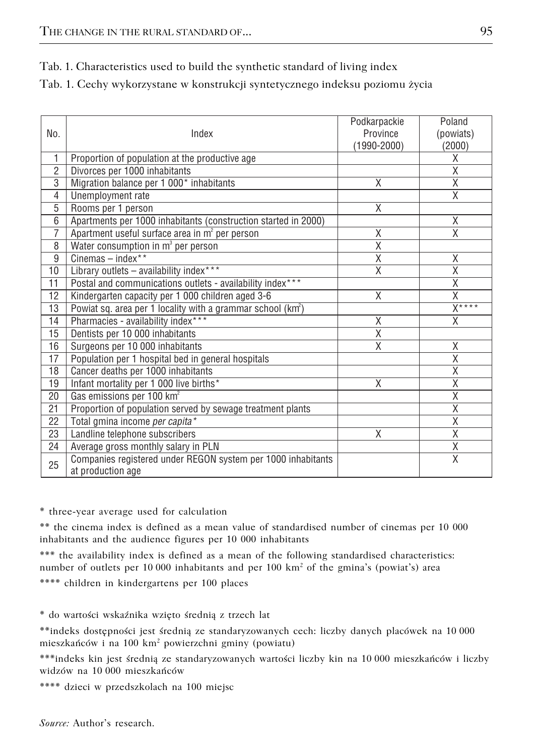|  |  |  |  | Tab. 1. Characteristics used to build the synthetic standard of living index |  |
|--|--|--|--|------------------------------------------------------------------------------|--|
|--|--|--|--|------------------------------------------------------------------------------|--|

| Tab. 1. Cechy wykorzystane w konstrukcji syntetycznego indeksu poziomu życia |  |  |
|------------------------------------------------------------------------------|--|--|
|------------------------------------------------------------------------------|--|--|

| No.             | Index                                                                             | Podkarpackie<br>Province<br>$(1990 - 2000)$ | Poland<br>(powiats)<br>(2000) |
|-----------------|-----------------------------------------------------------------------------------|---------------------------------------------|-------------------------------|
| $\mathbf{1}$    | Proportion of population at the productive age                                    |                                             | X                             |
| $\overline{2}$  | Divorces per 1000 inhabitants                                                     |                                             | $\overline{\mathsf{x}}$       |
| 3               | Migration balance per 1 000* inhabitants                                          | Χ                                           | $\overline{\mathsf{x}}$       |
| 4               | Unemployment rate                                                                 |                                             | $\overline{X}$                |
| 5               | Rooms per 1 person                                                                | $\overline{X}$                              |                               |
| 6               | Apartments per 1000 inhabitants (construction started in 2000)                    |                                             | X                             |
| Ī.              | Apartment useful surface area in m <sup>2</sup> per person                        | Χ                                           | $\overline{X}$                |
| 8               | Water consumption in m <sup>3</sup> per person                                    | $\overline{\mathsf{x}}$                     |                               |
| 9               | $C$ inemas – index**                                                              | X                                           | Χ                             |
| 10              | Library outlets - availability index***                                           | X                                           | $\overline{\mathsf{x}}$       |
| $\overline{11}$ | Postal and communications outlets - availability index***                         |                                             | $\overline{\mathsf{x}}$       |
| 12              | Kindergarten capacity per 1 000 children aged 3-6                                 | X                                           | $\overline{\mathsf{x}}$       |
| 13              | Powiat sq. area per 1 locality with a grammar school (km <sup>2</sup> )           |                                             | $X***$                        |
| 14              | Pharmacies - availability index***                                                | Χ                                           | Χ                             |
| 15              | Dentists per 10 000 inhabitants                                                   | Χ                                           |                               |
| 16              | Surgeons per 10 000 inhabitants                                                   | Χ                                           | Χ                             |
| 17              | Population per 1 hospital bed in general hospitals                                |                                             | $\overline{\mathsf{x}}$       |
| 18              | Cancer deaths per 1000 inhabitants                                                |                                             | X                             |
| 19              | Infant mortality per 1 000 live births*                                           | Χ                                           | $\overline{\mathsf{x}}$       |
| 20              | Gas emissions per 100 km <sup>2</sup>                                             |                                             | $\overline{\mathsf{x}}$       |
| 21              | Proportion of population served by sewage treatment plants                        |                                             | X                             |
| 22              | Total gmina income per capita*                                                    |                                             | X                             |
| 23              | Landline telephone subscribers                                                    | X                                           | $\overline{X}$                |
| 24              | Average gross monthly salary in PLN                                               |                                             | $\overline{\mathsf{x}}$       |
| 25              | Companies registered under REGON system per 1000 inhabitants<br>at production age |                                             | $\overline{X}$                |

\* three−year average used for calculation

\*\* the cinema index is defined as a mean value of standardised number of cinemas per 10 000 inhabitants and the audience figures per 10 000 inhabitants

\*\*\* the availability index is defined as a mean of the following standardised characteristics: number of outlets per 10 000 inhabitants and per  $100 \text{ km}^2$  of the gmina's (powiat's) area \*\*\*\* children in kindergartens per 100 places

\* do wartości wskaźnika wzięto średnią z trzech lat

\*\*indeks dostępności jest średnią ze standaryzowanych cech: liczby danych placówek na 10000 mieszkańców i na 100 km<sup>2</sup> powierzchni gminy (powiatu)

\*\*\*indeks kin jest średnią ze standaryzowanych wartości liczby kin na 10000 mieszkańców i liczby widzów na 10000 mieszkańców

\*\*\*\* dzieci w przedszkolach na 100 miejsc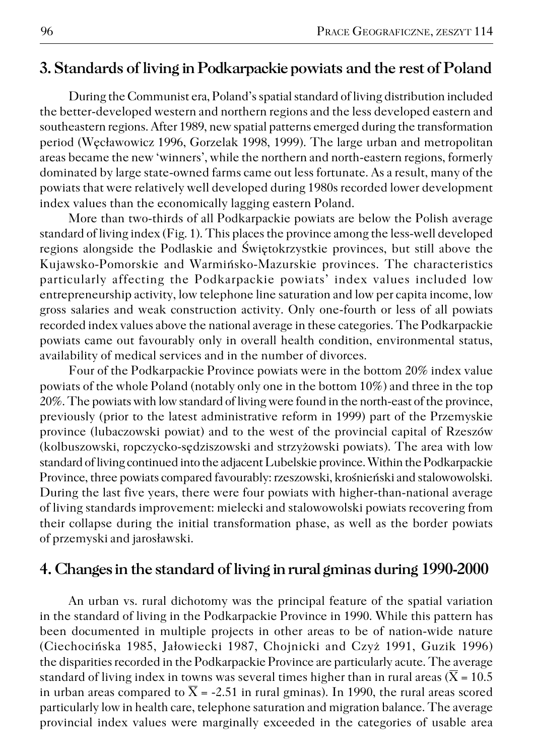### **3. Standards of living in Podkarpackie powiats and the rest of Poland**

During the Communist era, Poland's spatial standard of living distribution included the better−developed western and northern regions and the less developed eastern and southeastern regions. After 1989, new spatial patterns emerged during the transformation period (Węcławowicz 1996, Gorzelak 1998, 1999). The large urban and metropolitan areas became the new 'winners', while the northern and north−eastern regions, formerly dominated by large state−owned farms came out less fortunate. As a result, many of the powiats that were relatively well developed during 1980s recorded lower development index values than the economically lagging eastern Poland.

More than two−thirds of all Podkarpackie powiats are below the Polish average standard of living index (Fig. 1). This places the province among the less−well developed regions alongside the Podlaskie and Świętokrzystkie provinces, but still above the Kujawsko−Pomorskie and Warmińsko−Mazurskie provinces. The characteristics particularly affecting the Podkarpackie powiats' index values included low entrepreneurship activity, low telephone line saturation and low per capita income, low gross salaries and weak construction activity. Only one−fourth or less of all powiats recorded index values above the national average in these categories. The Podkarpackie powiats came out favourably only in overall health condition, environmental status, availability of medical services and in the number of divorces.

Four of the Podkarpackie Province powiats were in the bottom 20% index value powiats of the whole Poland (notably only one in the bottom 10%) and three in the top 20%. The powiats with low standard of living were found in the north−east of the province, previously (prior to the latest administrative reform in 1999) part of the Przemyskie province (lubaczowski powiat) and to the west of the provincial capital of Rzeszów (kolbuszowski, ropczycko−sędziszowski and strzyżowski powiats). The area with low standard of living continued into the adjacent Lubelskie province. Within the Podkarpackie Province, three powiats compared favourably: rzeszowski, krośnieński and stalowowolski. During the last five years, there were four powiats with higher−than−national average of living standards improvement: mielecki and stalowowolski powiats recovering from their collapse during the initial transformation phase, as well as the border powiats of przemyski and jarosławski.

#### **4. Changes in the standard of living in rural gminas during 1990−2000**

An urban vs. rural dichotomy was the principal feature of the spatial variation in the standard of living in the Podkarpackie Province in 1990. While this pattern has been documented in multiple projects in other areas to be of nation−wide nature (Ciechocińska 1985, Jałowiecki 1987, Chojnicki and Czyż 1991, Guzik 1996) the disparities recorded in the Podkarpackie Province are particularly acute. The average standard of living index in towns was several times higher than in rural areas ( $\overline{X} = 10.5$ ) in urban areas compared to  $\overline{X}$  = -2.51 in rural gminas). In 1990, the rural areas scored particularly low in health care, telephone saturation and migration balance. The average provincial index values were marginally exceeded in the categories of usable area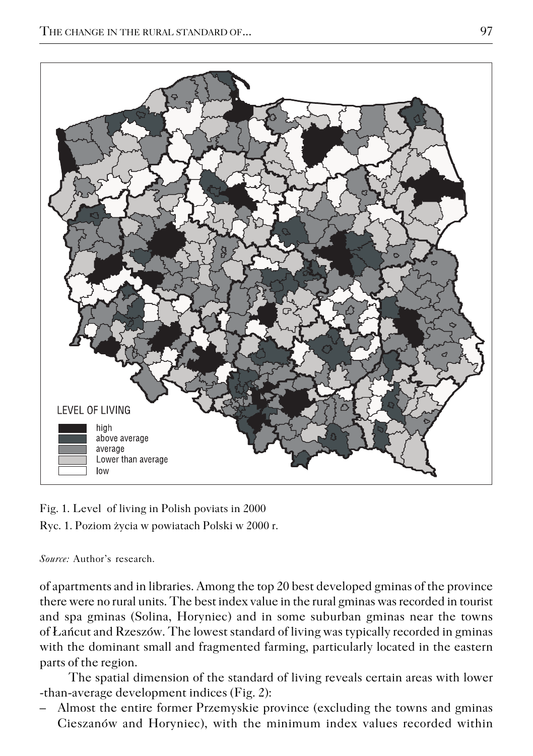

Fig. 1. Level of living in Polish poviats in 2000 Ryc. 1. Poziom życia w powiatach Polski w 2000 r.

*Source:* Author's research.

of apartments and in libraries. Among the top 20 best developed gminas of the province there were no rural units. The best index value in the rural gminas was recorded in tourist and spa gminas (Solina, Horyniec) and in some suburban gminas near the towns of Łańcut and Rzeszów. The lowest standard of living was typically recorded in gminas with the dominant small and fragmented farming, particularly located in the eastern parts of the region.

The spatial dimension of the standard of living reveals certain areas with lower −than−average development indices (Fig. 2):

– Almost the entire former Przemyskie province (excluding the towns and gminas Cieszanów and Horyniec), with the minimum index values recorded within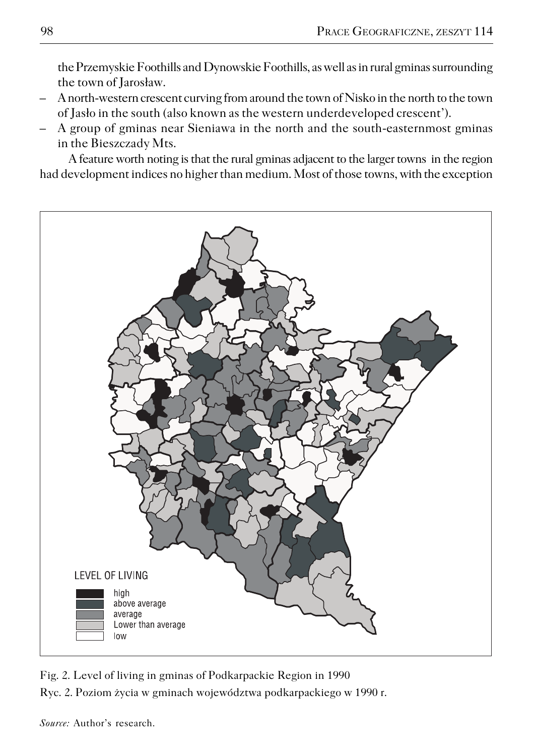the Przemyskie Foothills and Dynowskie Foothills, as well as in rural gminas surrounding the town of Jarosław.

- A north−western crescent curving from around the town of Nisko in the north to the town of Jasło in the south (also known as the western underdeveloped crescent').
- A group of gminas near Sieniawa in the north and the south−easternmost gminas in the Bieszczady Mts.

A feature worth noting is that the rural gminas adjacent to the larger towns in the region had development indices no higher than medium. Most of those towns, with the exception



Fig. 2. Level of living in gminas of Podkarpackie Region in 1990 Ryc. 2. Poziom życia w gminach województwa podkarpackiego w 1990 r.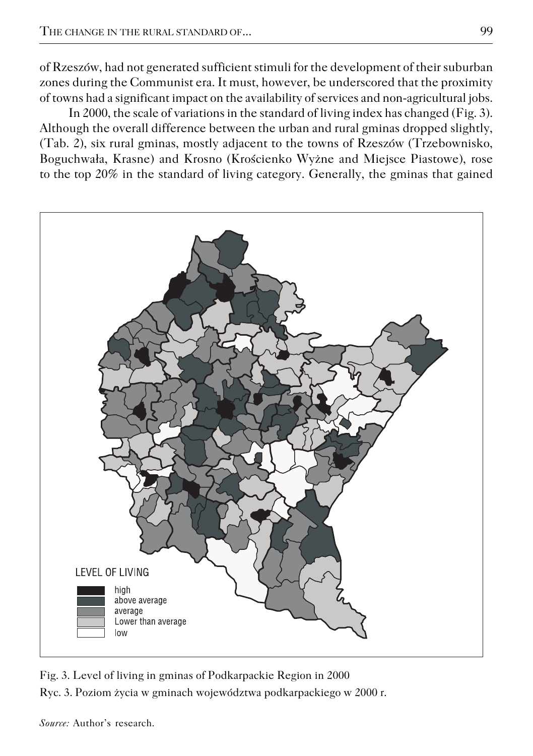of Rzeszów, had not generated sufficient stimuli for the development of their suburban zones during the Communist era. It must, however, be underscored that the proximity of towns had a significant impact on the availability of services and non−agricultural jobs.

In 2000, the scale of variations in the standard of living index has changed (Fig. 3). Although the overall difference between the urban and rural gminas dropped slightly, (Tab. 2), six rural gminas, mostly adjacent to the towns of Rzeszów (Trzebownisko, Boguchwała, Krasne) and Krosno (Krościenko Wyżne and Miejsce Piastowe), rose to the top 20% in the standard of living category. Generally, the gminas that gained



Fig. 3. Level of living in gminas of Podkarpackie Region in 2000 Ryc. 3. Poziom życia w gminach województwa podkarpackiego w 2000 r.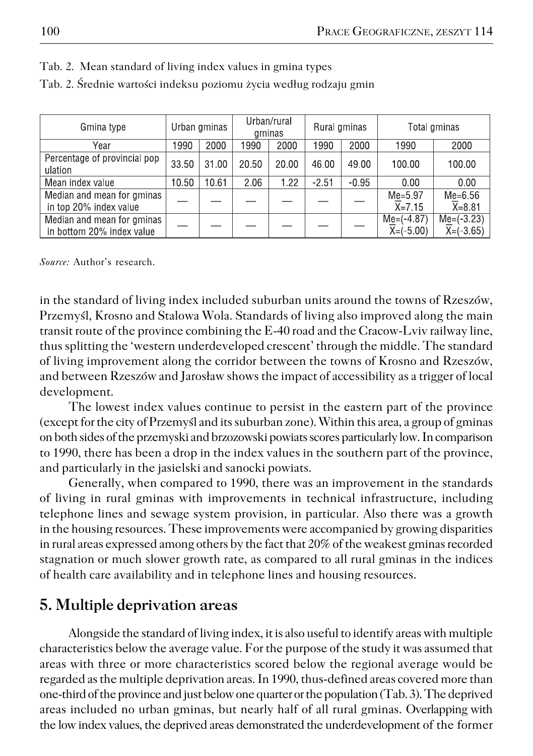| Gmina type                                              | Urban gminas |       | Urban/rural<br>gminas |       | Rural gminas |         | Total aminas                |                               |
|---------------------------------------------------------|--------------|-------|-----------------------|-------|--------------|---------|-----------------------------|-------------------------------|
| Year                                                    | 1990         | 2000  | 1990                  | 2000  | 1990         | 2000    | 1990                        | 2000                          |
| Percentage of provincial pop<br>ulation                 | 33.50        | 31.00 | 20.50                 | 20.00 | 46.00        | 49.00   | 100.00                      | 100.00                        |
| Mean index value                                        | 10.50        | 10.61 | 2.06                  | 1.22  | $-2.51$      | $-0.95$ | 0.00                        | 0.00                          |
| Median and mean for gminas<br>in top 20% index value    |              |       |                       |       |              |         | $Me=5.97$<br>$X = 7.15$     | $Me=6.56$<br>$X = 8.81$       |
| Median and mean for gminas<br>in bottom 20% index value |              |       |                       |       |              |         | $Me=(-4.87)$<br>$X=(-5.00)$ | $Me = (-3.23)$<br>$X=(-3.65)$ |

|  | Tab. 2. Mean standard of living index values in gmina types |  |  |  |
|--|-------------------------------------------------------------|--|--|--|
|--|-------------------------------------------------------------|--|--|--|

Tab. 2. Średnie wartości indeksu poziomu życia według rodzaju gmin

*Source:* Author's research.

in the standard of living index included suburban units around the towns of Rzeszów, Przemyśl, Krosno and Stalowa Wola. Standards of living also improved along the main transit route of the province combining the E−40 road and the Cracow−Lviv railway line, thus splitting the 'western underdeveloped crescent' through the middle. The standard of living improvement along the corridor between the towns of Krosno and Rzeszów, and between Rzeszów and Jarosław shows the impact of accessibility as a trigger of local development.

The lowest index values continue to persist in the eastern part of the province (except for the city of Przemyśl and its suburban zone). Within this area, a group of gminas on both sides of the przemyski and brzozowski powiats scores particularly low. In comparison to 1990, there has been a drop in the index values in the southern part of the province, and particularly in the jasielski and sanocki powiats.

Generally, when compared to 1990, there was an improvement in the standards of living in rural gminas with improvements in technical infrastructure, including telephone lines and sewage system provision, in particular. Also there was a growth in the housing resources. These improvements were accompanied by growing disparities in rural areas expressed among others by the fact that 20% of the weakest gminas recorded stagnation or much slower growth rate, as compared to all rural gminas in the indices of health care availability and in telephone lines and housing resources.

## **5. Multiple deprivation areas**

Alongside the standard of living index, it is also useful to identify areas with multiple characteristics below the average value. For the purpose of the study it was assumed that areas with three or more characteristics scored below the regional average would be regarded as the multiple deprivation areas. In 1990, thus−defined areas covered more than one−third of the province and just below one quarter or the population (Tab. 3). The deprived areas included no urban gminas, but nearly half of all rural gminas. Overlapping with the low index values, the deprived areas demonstrated the underdevelopment of the former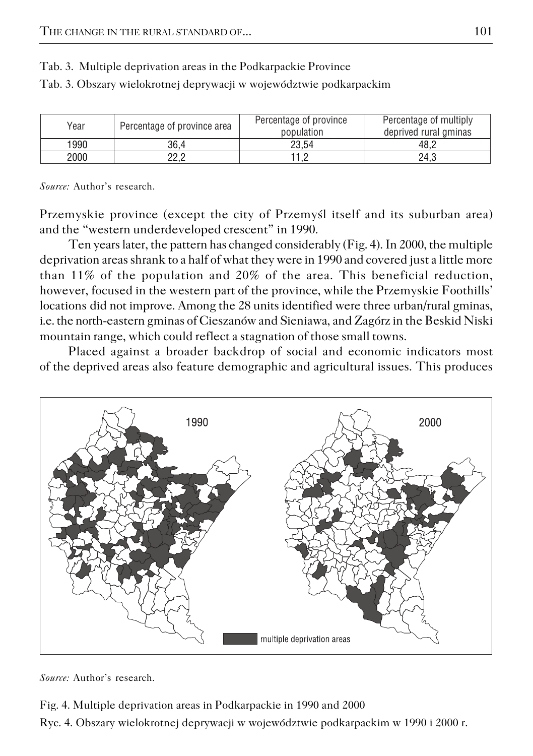| Year | Percentage of province area | Percentage of province<br>population | Percentage of multiply<br>deprived rural gminas |
|------|-----------------------------|--------------------------------------|-------------------------------------------------|
| 1990 | 36.4                        | 23.54                                | 48.2                                            |
| 2000 | ף מף<br>ے ۔ے                | 11 O                                 | 24.3                                            |

Tab. 3. Multiple deprivation areas in the Podkarpackie Province

Tab. 3. Obszary wielokrotnej deprywacji w województwie podkarpackim

*Source:* Author's research.

Przemyskie province (except the city of Przemyśl itself and its suburban area) and the "western underdeveloped crescent" in 1990.

Ten years later, the pattern has changed considerably (Fig. 4). In 2000, the multiple deprivation areas shrank to a half of what they were in 1990 and covered just a little more than 11% of the population and 20% of the area. This beneficial reduction, however, focused in the western part of the province, while the Przemyskie Foothills' locations did not improve. Among the 28 units identified were three urban/rural gminas, i.e. the north−eastern gminas of Cieszanów and Sieniawa, and Zagórz in the Beskid Niski mountain range, which could reflect a stagnation of those small towns.

Placed against a broader backdrop of social and economic indicators most of the deprived areas also feature demographic and agricultural issues. This produces



*Source:* Author's research.

Fig. 4. Multiple deprivation areas in Podkarpackie in 1990 and 2000 Ryc. 4. Obszary wielokrotnej deprywacji w województwie podkarpackim w 1990 i 2000 r.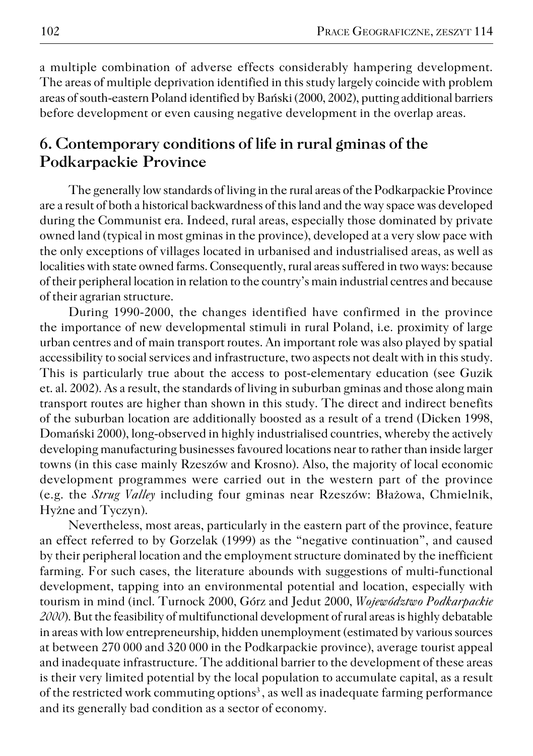a multiple combination of adverse effects considerably hampering development. The areas of multiple deprivation identified in this study largely coincide with problem areas of south−eastern Poland identified by Bański (2000, 2002), putting additional barriers before development or even causing negative development in the overlap areas.

## **6. Contemporary conditions of life in rural gminas of the Podkarpackie Province**

The generally low standards of living in the rural areas of the Podkarpackie Province are a result of both a historical backwardness of this land and the way space was developed during the Communist era. Indeed, rural areas, especially those dominated by private owned land (typical in most gminas in the province), developed at a very slow pace with the only exceptions of villages located in urbanised and industrialised areas, as well as localities with state owned farms. Consequently, rural areas suffered in two ways: because of their peripheral location in relation to the country's main industrial centres and because of their agrarian structure.

During 1990−2000, the changes identified have confirmed in the province the importance of new developmental stimuli in rural Poland, i.e. proximity of large urban centres and of main transport routes. An important role was also played by spatial accessibility to social services and infrastructure, two aspects not dealt with in this study. This is particularly true about the access to post−elementary education (see Guzik et. al. 2002). As a result, the standards of living in suburban gminas and those along main transport routes are higher than shown in this study. The direct and indirect benefits of the suburban location are additionally boosted as a result of a trend (Dicken 1998, Domański 2000), long−observed in highly industrialised countries, whereby the actively developing manufacturing businesses favoured locations near to rather than inside larger towns (in this case mainly Rzeszów and Krosno). Also, the majority of local economic development programmes were carried out in the western part of the province (e.g. the *Strug Valley* including four gminas near Rzeszów: Błażowa, Chmielnik, Hyżne and Tyczyn).

Nevertheless, most areas, particularly in the eastern part of the province, feature an effect referred to by Gorzelak (1999) as the "negative continuation", and caused by their peripheral location and the employment structure dominated by the inefficient farming. For such cases, the literature abounds with suggestions of multi−functional development, tapping into an environmental potential and location, especially with tourism in mind (incl. Turnock 2000, Górz and Jedut 2000, *Województwo Podkarpackie 2000*). But the feasibility of multifunctional development of rural areas is highly debatable in areas with low entrepreneurship, hidden unemployment (estimated by various sources at between 270 000 and 320 000 in the Podkarpackie province), average tourist appeal and inadequate infrastructure. The additional barrier to the development of these areas is their very limited potential by the local population to accumulate capital, as a result of the restricted work commuting options<sup>3</sup>, as well as inadequate farming performance and its generally bad condition as a sector of economy.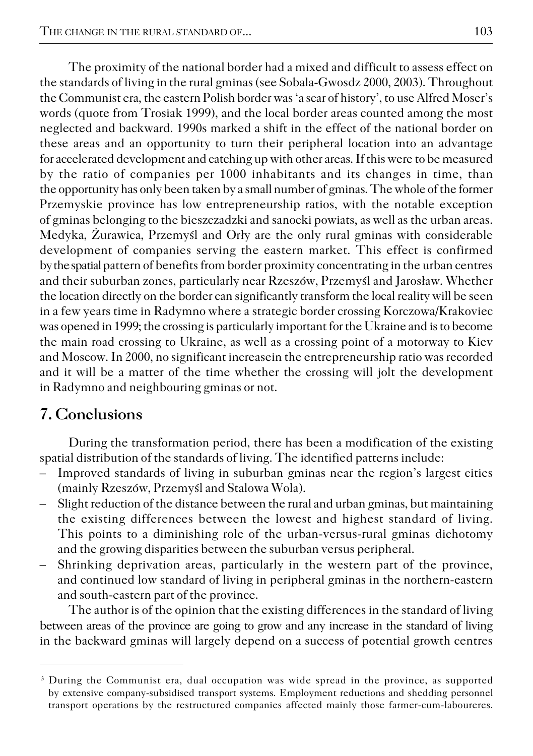The proximity of the national border had a mixed and difficult to assess effect on the standards of living in the rural gminas (see Sobala−Gwosdz 2000, 2003). Throughout the Communist era, the eastern Polish border was 'a scar of history', to use Alfred Moser's words (quote from Trosiak 1999), and the local border areas counted among the most neglected and backward. 1990s marked a shift in the effect of the national border on these areas and an opportunity to turn their peripheral location into an advantage for accelerated development and catching up with other areas. If this were to be measured by the ratio of companies per 1000 inhabitants and its changes in time, than the opportunity has only been taken by a small number of gminas. The whole of the former Przemyskie province has low entrepreneurship ratios, with the notable exception of gminas belonging to the bieszczadzki and sanocki powiats, as well as the urban areas. Medyka, Żurawica, Przemyśl and Orły are the only rural gminas with considerable development of companies serving the eastern market. This effect is confirmed by the spatial pattern of benefits from border proximity concentrating in the urban centres and their suburban zones, particularly near Rzeszów, Przemyśl and Jarosław. Whether the location directly on the border can significantly transform the local reality will be seen in a few years time in Radymno where a strategic border crossing Korczowa/Krakoviec was opened in 1999; the crossing is particularly important for the Ukraine and is to become the main road crossing to Ukraine, as well as a crossing point of a motorway to Kiev and Moscow. In 2000, no significant increasein the entrepreneurship ratio was recorded and it will be a matter of the time whether the crossing will jolt the development in Radymno and neighbouring gminas or not.

## **7. Conclusions**

During the transformation period, there has been a modification of the existing spatial distribution of the standards of living. The identified patterns include:

- Improved standards of living in suburban gminas near the region's largest cities (mainly Rzeszów, Przemyśl and Stalowa Wola).
- Slight reduction of the distance between the rural and urban gminas, but maintaining the existing differences between the lowest and highest standard of living. This points to a diminishing role of the urban−versus−rural gminas dichotomy and the growing disparities between the suburban versus peripheral.
- Shrinking deprivation areas, particularly in the western part of the province, and continued low standard of living in peripheral gminas in the northern−eastern and south−eastern part of the province.

The author is of the opinion that the existing differences in the standard of living between areas of the province are going to grow and any increase in the standard of living in the backward gminas will largely depend on a success of potential growth centres

<sup>&</sup>lt;sup>3</sup> During the Communist era, dual occupation was wide spread in the province, as supported by extensive company−subsidised transport systems. Employment reductions and shedding personnel transport operations by the restructured companies affected mainly those farmer−cum−laboureres.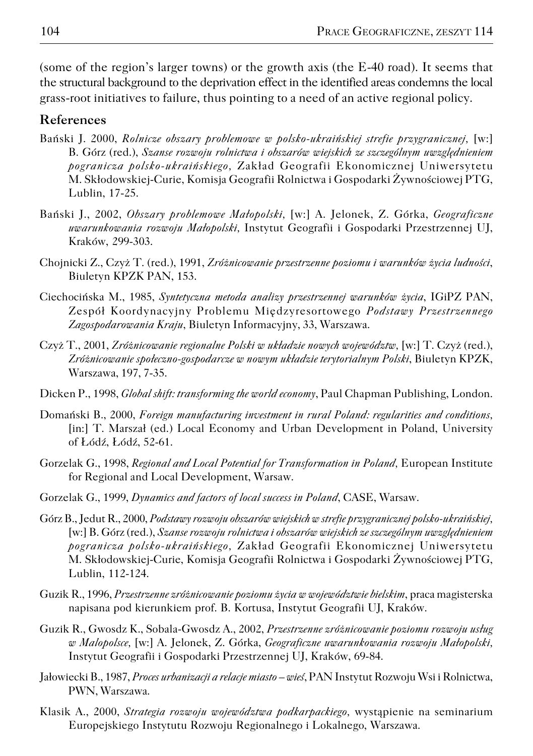(some of the region's larger towns) or the growth axis (the E−40 road). It seems that the structural background to the deprivation effect in the identified areas condemns the local grass−root initiatives to failure, thus pointing to a need of an active regional policy.

#### **References**

- Bański J. 2000, *Rolnicze obszary problemowe w polsko−ukraińskiej strefie przygranicznej,* [w:] B. Górz (red.), *Szanse rozwoju rolnictwa i obszarów wiejskich ze szczególnym uwzględnieniem pogranicza polsko−ukraińskiego,* Zakład Geografii Ekonomicznej Uniwersytetu M. Skłodowskiej−Curie, Komisja Geografii Rolnictwa i Gospodarki Żywnościowej PTG, Lublin, 17−25.
- Bański J., 2002, *Obszary problemowe Małopolski,* [w:] A. Jelonek, Z. Górka, *Geograficzne uwarunkowania rozwoju Małopolski,* Instytut Geografii i Gospodarki Przestrzennej UJ, Kraków, 299−303.
- Chojnicki Z., Czyż T. (red.), 1991, *Zróżnicowanie przestrzenne poziomu i warunków życia ludności*, Biuletyn KPZK PAN, 153.
- Ciechocińska M., 1985, *Syntetyczna metoda analizy przestrzennej warunków życia*, IGiPZ PAN, Zespół Koordynacyjny Problemu Międzyresortowego *Podstawy Przestrzennego Zagospodarowania Kraju*, Biuletyn Informacyjny, 33, Warszawa.
- Czyż T., 2001, *Zróżnicowanie regionalne Polski w układzie nowych województw,* [w:] T. Czyż (red.), *Zróżnicowanie społeczno−gospodarcze w nowym układzie terytorialnym Polski*, Biuletyn KPZK, Warszawa, 197, 7−35.
- Dicken P., 1998, *Global shift: transforming the world economy*, Paul Chapman Publishing, London.
- Domański B., 2000, *Foreign manufacturing investment in rural Poland: regularities and conditions,* [in:] T. Marszał (ed.) Local Economy and Urban Development in Poland, University of Łódź, Łódź, 52−61.
- Gorzelak G., 1998, *Regional and Local Potential for Transformation in Poland,* European Institute for Regional and Local Development, Warsaw.
- Gorzelak G., 1999, *Dynamics and factors of local success in Poland*, CASE, Warsaw.
- Górz B., Jedut R., 2000, *Podstawy rozwoju obszarów wiejskich w strefie przygranicznej polsko−ukraińskiej,* [w:] B. Górz (red.), *Szanse rozwoju rolnictwa i obszarów wiejskich ze szczególnym uwzględnieniem pogranicza polsko−ukraińskiego,* Zakład Geografii Ekonomicznej Uniwersytetu M. Skłodowskiej−Curie, Komisja Geografii Rolnictwa i Gospodarki Żywnościowej PTG, Lublin, 112−124.
- Guzik R., 1996, *Przestrzenne zróżnicowanie poziomu życia w województwie bielskim*, praca magisterska napisana pod kierunkiem prof. B. Kortusa, Instytut Geografii UJ, Kraków.
- Guzik R., Gwosdz K., Sobala−Gwosdz A., 2002, *Przestrzenne zróżnicowanie poziomu rozwoju usług w Malopolsce,* [w:] A. Jelonek, Z. Górka, *Geograficzne uwarunkowania rozwoju Małopolski,* Instytut Geografii i Gospodarki Przestrzennej UJ, Kraków, 69−84.
- Jałowiecki B., 1987, *Proces urbanizacji a relacje miasto wieś*, PAN Instytut Rozwoju Wsi i Rolnictwa, PWN, Warszawa.
- Klasik A., 2000, *Strategia rozwoju województwa podkarpackiego,* wystąpienie na seminarium Europejskiego Instytutu Rozwoju Regionalnego i Lokalnego, Warszawa.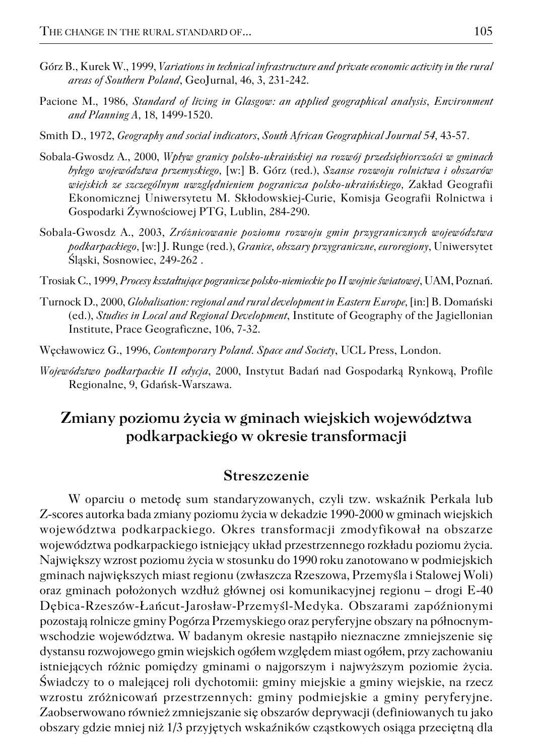- Górz B., Kurek W., 1999, *Variations in technical infrastructure and private economic activity in the rural areas of Southern Poland*, GeoJurnal, 46, 3, 231−242.
- Pacione M., 1986*, Standard of living in Glasgow: an applied geographical analysis, Environment and Planning A,* 18, 1499−1520.
- Smith D., 1972, *Geography and social indicators*, *South African Geographical Journal 54,* 43−57*.*
- Sobala−Gwosdz A., 2000, *Wpływ granicy polsko−ukraińskiej na rozwój przedsiębiorczości w gminach byłego województwa przemyskiego,* [w:] B. Górz (red.), *Szanse rozwoju rolnictwa i obszarów wiejskich ze szczególnym uwzględnieniem pogranicza polsko−ukraińskiego,* Zakład Geografii Ekonomicznej Uniwersytetu M. Skłodowskiej−Curie, Komisja Geografii Rolnictwa i Gospodarki Żywnościowej PTG, Lublin, 284−290.
- Sobala−Gwosdz A., 2003, *Zróżnicowanie poziomu rozwoju gmin przygranicznych województwa podkarpackiego,* [w:] J. Runge (red.), *Granice, obszary przygraniczne, euroregiony*, Uniwersytet Śląski, Sosnowiec, 249−262 .
- Trosiak C., 1999, *Procesy kształtujące pogranicze polsko−niemieckie po II wojnie światowej*, UAM, Poznań.
- Turnock D., 2000, *Globalisation: regional and rural development in Eastern Europe,* [in:] B. Domański (ed.), *Studies in Local and Regional Development*, Institute of Geography of the Jagiellonian Institute, Prace Geograficzne, 106, 7−32.

Węcławowicz G., 1996, *Contemporary Poland. Space and Society*, UCL Press, London.

*Województwo podkarpackie II edycja*, 2000, Instytut Badań nad Gospodarką Rynkową, Profile Regionalne, 9, Gdańsk−Warszawa.

## **Zmiany poziomu życia w gminach wiejskich województwa podkarpackiego w okresie transformacji**

#### **Streszczenie**

W oparciu o metodę sum standaryzowanych, czyli tzw. wskaźnik Perkala lub Z−scores autorka bada zmiany poziomu życia w dekadzie 1990−2000 w gminach wiejskich województwa podkarpackiego. Okres transformacji zmodyfikował na obszarze województwa podkarpackiego istniejący układ przestrzennego rozkładu poziomu życia. Największy wzrost poziomu życia w stosunku do 1990 roku zanotowano w podmiejskich gminach największych miast regionu (zwłaszcza Rzeszowa, Przemyśla i Stalowej Woli) oraz gminach położonych wzdłuż głównej osi komunikacyjnej regionu – drogi E−40 Dębica−Rzeszów−Łańcut−Jarosław−Przemyśl−Medyka. Obszarami zapóźnionymi pozostają rolnicze gminy Pogórza Przemyskiego oraz peryferyjne obszary na północnym− wschodzie województwa. W badanym okresie nastąpiło nieznaczne zmniejszenie się dystansu rozwojowego gmin wiejskich ogółem względem miast ogółem, przy zachowaniu istniejących różnic pomiędzy gminami o najgorszym i najwyższym poziomie życia. Świadczy to o malejącej roli dychotomii: gminy miejskie a gminy wiejskie, na rzecz wzrostu zróżnicowań przestrzennych: gminy podmiejskie a gminy peryferyjne. Zaobserwowano również zmniejszanie się obszarów deprywacji (definiowanych tu jako obszary gdzie mniej niż 1/3 przyjętych wskaźników cząstkowych osiąga przeciętną dla